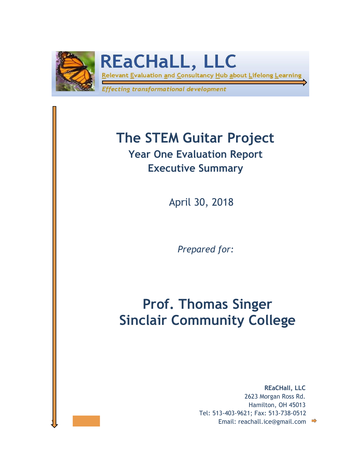

**REaCHaLL, LLC** 

Relevant Evaluation and Consultancy Hub about Lifelong Learning

Effecting transformational development

# **The STEM Guitar Project**

**Year One Evaluation Report Executive Summary**

April 30, 2018

*Prepared for:*

## **Prof. Thomas Singer Sinclair Community College**

**Email: reachall.ice@gmail.com Email: reachall.ice@gmail.com REaCHall, LLC** 2623 Morgan Ross Rd. Hamilton, OH 45013 Tel: 513-403-9621; Fax: 513-738-0512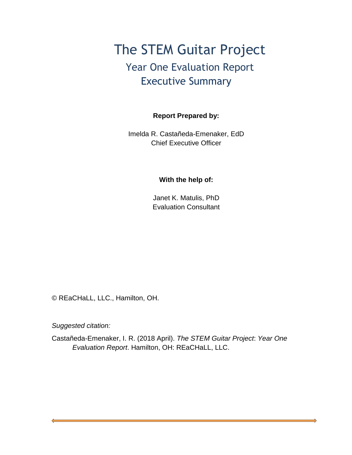### The STEM Guitar Project Year One Evaluation Report Executive Summary

#### **Report Prepared by:**

Imelda R. Castañeda-Emenaker, EdD Chief Executive Officer

#### **With the help of:**

Janet K. Matulis, PhD Evaluation Consultant

© REaCHaLL, LLC., Hamilton, OH.

*Suggested citation:*

Castañeda-Emenaker, I. R. (2018 April). *The STEM Guitar Project*: *Year One Evaluation Report*. Hamilton, OH: REaCHaLL, LLC.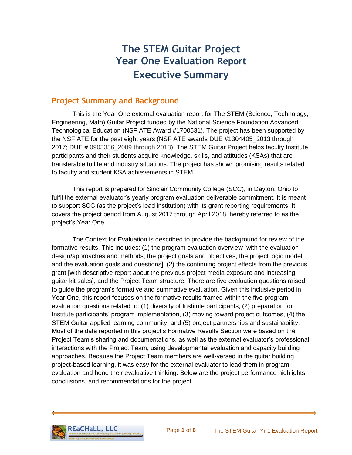### **The STEM Guitar Project Year One Evaluation Report Executive Summary**

#### **Project Summary and Background**

This is the Year One external evaluation report for The STEM (Science, Technology, Engineering, Math) Guitar Project funded by the National Science Foundation Advanced Technological Education (NSF ATE Award #1700531). The project has been supported by the NSF ATE for the past eight years (NSF ATE awards DUE #1304405\_2013 through 2017; DUE # 0903336\_2009 through 2013). The STEM Guitar Project helps faculty Institute participants and their students acquire knowledge, skills, and attitudes (KSAs) that are transferable to life and industry situations. The project has shown promising results related to faculty and student KSA achievements in STEM.

This report is prepared for Sinclair Community College (SCC), in Dayton, Ohio to fulfil the external evaluator's yearly program evaluation deliverable commitment. It is meant to support SCC (as the project's lead institution) with its grant reporting requirements. It covers the project period from August 2017 through April 2018, hereby referred to as the project's Year One.

The Context for Evaluation is described to provide the background for review of the formative results. This includes: (1) the program evaluation overview [with the evaluation design/approaches and methods; the project goals and objectives; the project logic model; and the evaluation goals and questions], (2) the continuing project effects from the previous grant [with descriptive report about the previous project media exposure and increasing guitar kit sales], and the Project Team structure. There are five evaluation questions raised to guide the program's formative and summative evaluation. Given this inclusive period in Year One, this report focuses on the formative results framed within the five program evaluation questions related to: (1) diversity of Institute participants, (2) preparation for Institute participants' program implementation, (3) moving toward project outcomes, (4) the STEM Guitar applied learning community, and (5) project partnerships and sustainability. Most of the data reported in this project's Formative Results Section were based on the Project Team's sharing and documentations, as well as the external evaluator's professional interactions with the Project Team, using developmental evaluation and capacity building approaches. Because the Project Team members are well-versed in the guitar building project-based learning, it was easy for the external evaluator to lead them in program evaluation and hone their evaluative thinking. Below are the project performance highlights, conclusions, and recommendations for the project.

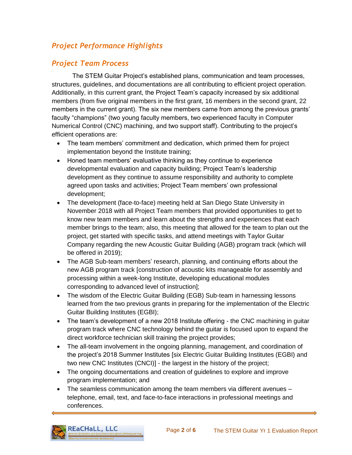#### *Project Performance Highlights*

#### *Project Team Process*

The STEM Guitar Project's established plans, communication and team processes, structures, guidelines, and documentations are all contributing to efficient project operation. Additionally, in this current grant, the Project Team's capacity increased by six additional members (from five original members in the first grant, 16 members in the second grant, 22 members in the current grant). The six new members came from among the previous grants' faculty "champions" (two young faculty members, two experienced faculty in Computer Numerical Control (CNC) machining, and two support staff). Contributing to the project's efficient operations are:

- The team members' commitment and dedication, which primed them for project implementation beyond the Institute training;
- Honed team members' evaluative thinking as they continue to experience developmental evaluation and capacity building; Project Team's leadership development as they continue to assume responsibility and authority to complete agreed upon tasks and activities; Project Team members' own professional development;
- The development (face-to-face) meeting held at San Diego State University in November 2018 with all Project Team members that provided opportunities to get to know new team members and learn about the strengths and experiences that each member brings to the team; also, this meeting that allowed for the team to plan out the project, get started with specific tasks, and attend meetings with Taylor Guitar Company regarding the new Acoustic Guitar Building (AGB) program track (which will be offered in 2019);
- The AGB Sub-team members' research, planning, and continuing efforts about the new AGB program track [construction of acoustic kits manageable for assembly and processing within a week-long Institute, developing educational modules corresponding to advanced level of instruction];
- The wisdom of the Electric Guitar Building (EGB) Sub-team in harnessing lessons learned from the two previous grants in preparing for the implementation of the Electric Guitar Building Institutes (EGBI);
- The team's development of a new 2018 Institute offering the CNC machining in quitar program track where CNC technology behind the guitar is focused upon to expand the direct workforce technician skill training the project provides;
- The all-team involvement in the ongoing planning, management, and coordination of the project's 2018 Summer Institutes [six Electric Guitar Building Institutes (EGBI) and two new CNC Institutes (CNCI)] - the largest in the history of the project;
- The ongoing documentations and creation of guidelines to explore and improve program implementation; and
- The seamless communication among the team members via different avenues telephone, email, text, and face-to-face interactions in professional meetings and conferences.

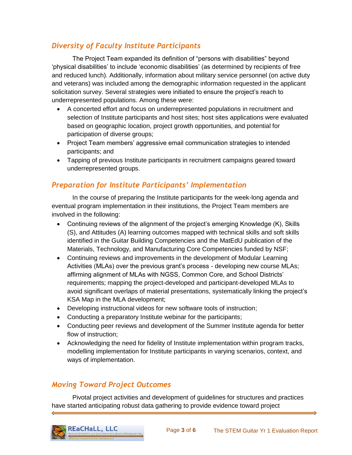#### *Diversity of Faculty Institute Participants*

The Project Team expanded its definition of "persons with disabilities" beyond 'physical disabilities' to include 'economic disabilities' (as determined by recipients of free and reduced lunch). Additionally, information about military service personnel (on active duty and veterans) was included among the demographic information requested in the applicant solicitation survey. Several strategies were initiated to ensure the project's reach to underrepresented populations. Among these were:

- A concerted effort and focus on underrepresented populations in recruitment and selection of Institute participants and host sites; host sites applications were evaluated based on geographic location, project growth opportunities, and potential for participation of diverse groups;
- Project Team members' aggressive email communication strategies to intended participants; and
- Tapping of previous Institute participants in recruitment campaigns geared toward underrepresented groups.

#### *Preparation for Institute Participants' Implementation*

In the course of preparing the Institute participants for the week-long agenda and eventual program implementation in their institutions, the Project Team members are involved in the following:

- Continuing reviews of the alignment of the project's emerging Knowledge (K), Skills (S), and Attitudes (A) learning outcomes mapped with technical skills and soft skills identified in the Guitar Building Competencies and the MatEdU publication of the Materials, Technology, and Manufacturing Core Competencies funded by NSF;
- Continuing reviews and improvements in the development of Modular Learning Activities (MLAs) over the previous grant's process - developing new course MLAs; affirming alignment of MLAs with NGSS, Common Core, and School Districts' requirements; mapping the project-developed and participant-developed MLAs to avoid significant overlaps of material presentations, systematically linking the project's KSA Map in the MLA development;
- Developing instructional videos for new software tools of instruction;
- Conducting a preparatory Institute webinar for the participants;
- Conducting peer reviews and development of the Summer Institute agenda for better flow of instruction;
- Acknowledging the need for fidelity of Institute implementation within program tracks, modelling implementation for Institute participants in varying scenarios, context, and ways of implementation.

#### *Moving Toward Project Outcomes*

Pivotal project activities and development of guidelines for structures and practices have started anticipating robust data gathering to provide evidence toward project

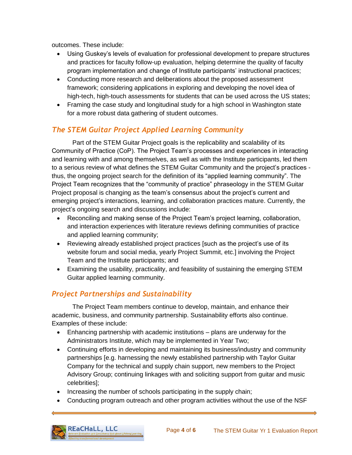outcomes. These include:

- Using Guskey's levels of evaluation for professional development to prepare structures and practices for faculty follow-up evaluation, helping determine the quality of faculty program implementation and change of Institute participants' instructional practices;
- Conducting more research and deliberations about the proposed assessment framework; considering applications in exploring and developing the novel idea of high-tech, high-touch assessments for students that can be used across the US states;
- Framing the case study and longitudinal study for a high school in Washington state for a more robust data gathering of student outcomes.

#### *The STEM Guitar Project Applied Learning Community*

Part of the STEM Guitar Project goals is the replicability and scalability of its Community of Practice (CoP). The Project Team's processes and experiences in interacting and learning with and among themselves, as well as with the Institute participants, led them to a serious review of what defines the STEM Guitar Community and the project's practices thus, the ongoing project search for the definition of its "applied learning community". The Project Team recognizes that the "community of practice" phraseology in the STEM Guitar Project proposal is changing as the team's consensus about the project's current and emerging project's interactions, learning, and collaboration practices mature. Currently, the project's ongoing search and discussions include:

- Reconciling and making sense of the Project Team's project learning, collaboration, and interaction experiences with literature reviews defining communities of practice and applied learning community;
- Reviewing already established project practices [such as the project's use of its website forum and social media, yearly Project Summit, etc.] involving the Project Team and the Institute participants; and
- Examining the usability, practicality, and feasibility of sustaining the emerging STEM Guitar applied learning community.

#### *Project Partnerships and Sustainability*

The Project Team members continue to develop, maintain, and enhance their academic, business, and community partnership. Sustainability efforts also continue. Examples of these include:

- Enhancing partnership with academic institutions plans are underway for the Administrators Institute, which may be implemented in Year Two;
- Continuing efforts in developing and maintaining its business/industry and community partnerships [e.g. harnessing the newly established partnership with Taylor Guitar Company for the technical and supply chain support, new members to the Project Advisory Group; continuing linkages with and soliciting support from guitar and music celebrities];
- Increasing the number of schools participating in the supply chain;
- Conducting program outreach and other program activities without the use of the NSF

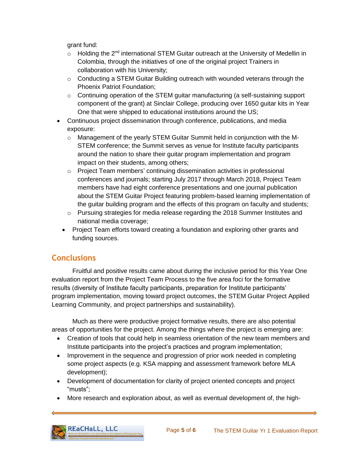grant fund:

- o Holding the 2<sup>nd</sup> international STEM Guitar outreach at the University of Medellin in Colombia, through the initiatives of one of the original project Trainers in collaboration with his University;
- $\circ$  Conducting a STEM Guitar Building outreach with wounded veterans through the Phoenix Patriot Foundation;
- $\circ$  Continuing operation of the STEM guitar manufacturing (a self-sustaining support component of the grant) at Sinclair College, producing over 1650 guitar kits in Year One that were shipped to educational institutions around the US;
- Continuous project dissemination through conference, publications, and media exposure:
	- $\circ$  Management of the yearly STEM Guitar Summit held in conjunction with the M-STEM conference; the Summit serves as venue for Institute faculty participants around the nation to share their guitar program implementation and program impact on their students, among others;
	- $\circ$  Project Team members' continuing dissemination activities in professional conferences and journals; starting July 2017 through March 2018, Project Team members have had eight conference presentations and one journal publication about the STEM Guitar Project featuring problem-based learning implementation of the guitar building program and the effects of this program on faculty and students;
	- $\circ$  Pursuing strategies for media release regarding the 2018 Summer Institutes and national media coverage;
	- Project Team efforts toward creating a foundation and exploring other grants and funding sources.

#### **Conclusions**

Fruitful and positive results came about during the inclusive period for this Year One evaluation report from the Project Team Process to the five area foci for the formative results (diversity of Institute faculty participants, preparation for Institute participants' program implementation, moving toward project outcomes, the STEM Guitar Project Applied Learning Community, and project partnerships and sustainability).

Much as there were productive project formative results, there are also potential areas of opportunities for the project. Among the things where the project is emerging are:

- Creation of tools that could help in seamless orientation of the new team members and Institute participants into the project's practices and program implementation;
- Improvement in the sequence and progression of prior work needed in completing some project aspects (e.g. KSA mapping and assessment framework before MLA development);
- Development of documentation for clarity of project oriented concepts and project "musts";
- More research and exploration about, as well as eventual development of, the high-